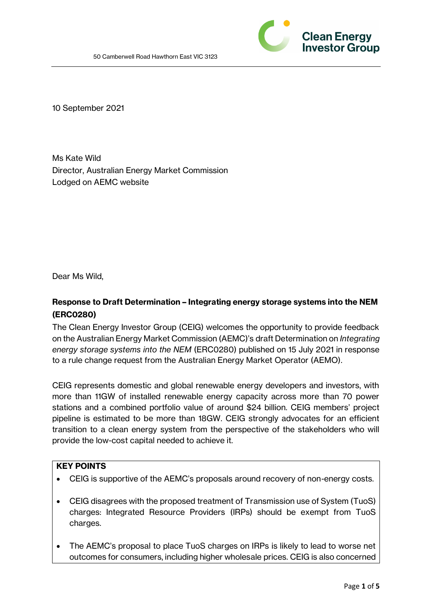

10 September 2021

Ms Kate Wild Director, Australian Energy Market Commission Lodged on AEMC website

Dear Ms Wild,

# **Response to Draft Determination – Integrating energy storage systems into the NEM (ERC0280)**

The Clean Energy Investor Group (CEIG) welcomes the opportunity to provide feedback on the Australian Energy Market Commission (AEMC)'s draft Determination on *Integrating energy storage systems into the NEM* (ERC0280) published on 15 July 2021 in response to a rule change request from the Australian Energy Market Operator (AEMO).

CEIG represents domestic and global renewable energy developers and investors, with more than 11GW of installed renewable energy capacity across more than 70 power stations and a combined portfolio value of around \$24 billion. CEIG members' project pipeline is estimated to be more than 18GW. CEIG strongly advocates for an efficient transition to a clean energy system from the perspective of the stakeholders who will provide the low-cost capital needed to achieve it.

# **KEY POINTS**

- CEIG is supportive of the AEMC's proposals around recovery of non-energy costs.
- CEIG disagrees with the proposed treatment of Transmission use of System (TuoS) charges: Integrated Resource Providers (IRPs) should be exempt from TuoS charges.
- The AEMC's proposal to place TuoS charges on IRPs is likely to lead to worse net outcomes for consumers, including higher wholesale prices. CEIG is also concerned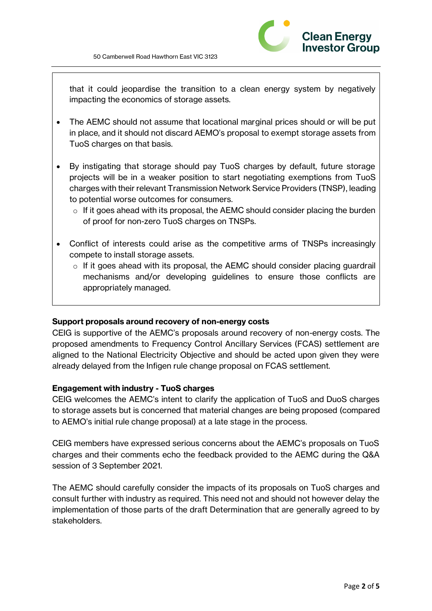

that it could jeopardise the transition to a clean energy system by negatively impacting the economics of storage assets.

- The AEMC should not assume that locational marginal prices should or will be put in place, and it should not discard AEMO's proposal to exempt storage assets from TuoS charges on that basis.
- By instigating that storage should pay TuoS charges by default, future storage projects will be in a weaker position to start negotiating exemptions from TuoS charges with their relevant Transmission Network Service Providers (TNSP), leading to potential worse outcomes for consumers.
	- $\circ$  If it goes ahead with its proposal, the AEMC should consider placing the burden of proof for non-zero TuoS charges on TNSPs.
- Conflict of interests could arise as the competitive arms of TNSPs increasingly compete to install storage assets.
	- $\circ$  If it goes ahead with its proposal, the AEMC should consider placing guardrail mechanisms and/or developing guidelines to ensure those conflicts are appropriately managed.

#### **Support proposals around recovery of non-energy costs**

CEIG is supportive of the AEMC's proposals around recovery of non-energy costs. The proposed amendments to Frequency Control Ancillary Services (FCAS) settlement are aligned to the National Electricity Objective and should be acted upon given they were already delayed from the Infigen rule change proposal on FCAS settlement.

#### **Engagement with industry - TuoS charges**

CEIG welcomes the AEMC's intent to clarify the application of TuoS and DuoS charges to storage assets but is concerned that material changes are being proposed (compared to AEMO's initial rule change proposal) at a late stage in the process.

CEIG members have expressed serious concerns about the AEMC's proposals on TuoS charges and their comments echo the feedback provided to the AEMC during the Q&A session of 3 September 2021.

The AEMC should carefully consider the impacts of its proposals on TuoS charges and consult further with industry as required. This need not and should not however delay the implementation of those parts of the draft Determination that are generally agreed to by stakeholders.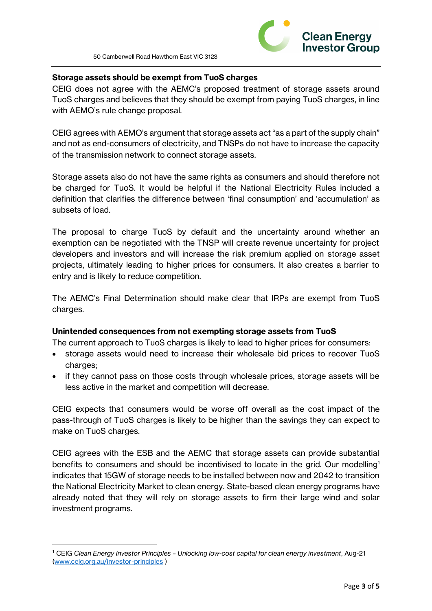

## **Storage assets should be exempt from TuoS charges**

CEIG does not agree with the AEMC's proposed treatment of storage assets around TuoS charges and believes that they should be exempt from paying TuoS charges, in line with AEMO's rule change proposal.

CEIG agrees with AEMO's argument that storage assets act "as a part of the supply chain" and not as end-consumers of electricity, and TNSPs do not have to increase the capacity of the transmission network to connect storage assets.

Storage assets also do not have the same rights as consumers and should therefore not be charged for TuoS. It would be helpful if the National Electricity Rules included a definition that clarifies the difference between 'final consumption' and 'accumulation' as subsets of load.

The proposal to charge TuoS by default and the uncertainty around whether an exemption can be negotiated with the TNSP will create revenue uncertainty for project developers and investors and will increase the risk premium applied on storage asset projects, ultimately leading to higher prices for consumers. It also creates a barrier to entry and is likely to reduce competition.

The AEMC's Final Determination should make clear that IRPs are exempt from TuoS charges.

#### **Unintended consequences from not exempting storage assets from TuoS**

The current approach to TuoS charges is likely to lead to higher prices for consumers:

- storage assets would need to increase their wholesale bid prices to recover TuoS charges;
- if they cannot pass on those costs through wholesale prices, storage assets will be less active in the market and competition will decrease.

CEIG expects that consumers would be worse off overall as the cost impact of the pass-through of TuoS charges is likely to be higher than the savings they can expect to make on TuoS charges.

CEIG agrees with the ESB and the AEMC that storage assets can provide substantial benefits to consumers and should be incentivised to locate in the grid. Our modelling<sup>1</sup> indicates that 15GW of storage needs to be installed between now and 2042 to transition the National Electricity Market to clean energy. State-based clean energy programs have already noted that they will rely on storage assets to firm their large wind and solar investment programs.

<sup>1</sup> CEIG *Clean Energy Investor Principles – Unlocking low-cost capital for clean energy investment*, Aug-21 [\(www.ceig.org.au/investor-principles](https://ceig.org.au/investor-principles/) )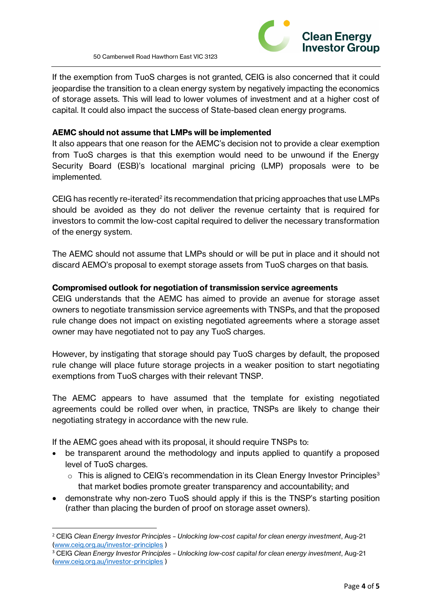

If the exemption from TuoS charges is not granted, CEIG is also concerned that it could jeopardise the transition to a clean energy system by negatively impacting the economics of storage assets. This will lead to lower volumes of investment and at a higher cost of capital. It could also impact the success of State-based clean energy programs.

# **AEMC should not assume that LMPs will be implemented**

It also appears that one reason for the AEMC's decision not to provide a clear exemption from TuoS charges is that this exemption would need to be unwound if the Energy Security Board (ESB)'s locational marginal pricing (LMP) proposals were to be implemented.

CEIG has recently re-iterated<sup>2</sup> its recommendation that pricing approaches that use LMPs should be avoided as they do not deliver the revenue certainty that is required for investors to commit the low-cost capital required to deliver the necessary transformation of the energy system.

The AEMC should not assume that LMPs should or will be put in place and it should not discard AEMO's proposal to exempt storage assets from TuoS charges on that basis.

## **Compromised outlook for negotiation of transmission service agreements**

CEIG understands that the AEMC has aimed to provide an avenue for storage asset owners to negotiate transmission service agreements with TNSPs, and that the proposed rule change does not impact on existing negotiated agreements where a storage asset owner may have negotiated not to pay any TuoS charges.

However, by instigating that storage should pay TuoS charges by default, the proposed rule change will place future storage projects in a weaker position to start negotiating exemptions from TuoS charges with their relevant TNSP.

The AEMC appears to have assumed that the template for existing negotiated agreements could be rolled over when, in practice, TNSPs are likely to change their negotiating strategy in accordance with the new rule.

If the AEMC goes ahead with its proposal, it should require TNSPs to:

- be transparent around the methodology and inputs applied to quantify a proposed level of TuoS charges.
	- $\circ$  This is aligned to CEIG's recommendation in its Clean Energy Investor Principles<sup>3</sup> that market bodies promote greater transparency and accountability; and
- demonstrate why non-zero TuoS should apply if this is the TNSP's starting position (rather than placing the burden of proof on storage asset owners).

<sup>2</sup> CEIG *Clean Energy Investor Principles – Unlocking low-cost capital for clean energy investment*, Aug-21 [\(www.ceig.org.au/investor-principles](https://ceig.org.au/investor-principles/) )

<sup>3</sup> CEIG *Clean Energy Investor Principles – Unlocking low-cost capital for clean energy investment*, Aug-21 [\(www.ceig.org.au/investor-principles](https://ceig.org.au/investor-principles/) )